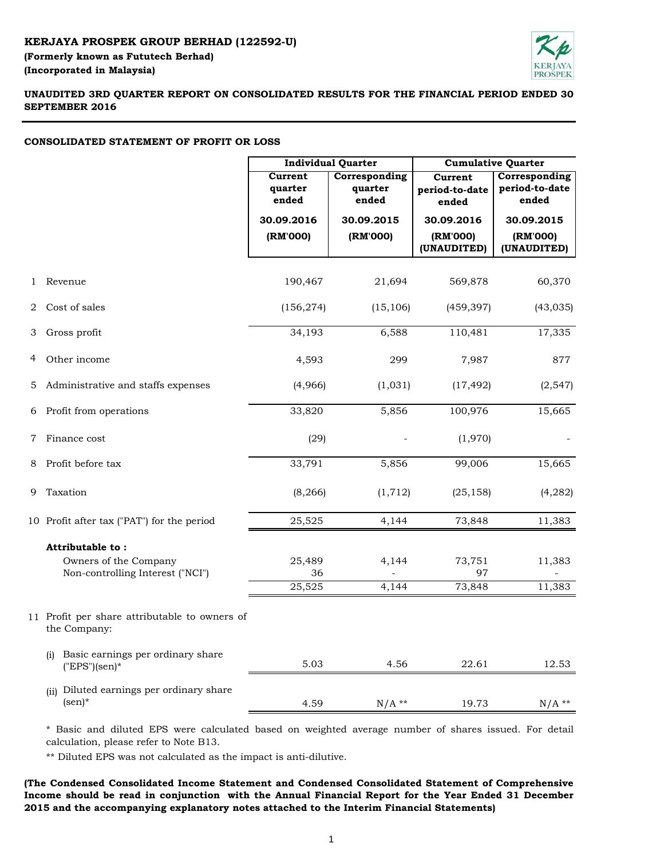# **KERJAYA PROSPEK GROUP BERHAD (122592-U) (Incorporated in Malaysia) (Formerly known as Fututech Berhad)**



# **UNAUDITED 3RD QUARTER REPORT ON CONSOLIDATED RESULTS FOR THE FINANCIAL PERIOD ENDED 30 SEPTEMBER 2016**

# **CONSOLIDATED STATEMENT OF PROFIT OR LOSS**

|                |                                                                 | <b>Individual Quarter</b>   |                                   | <b>Cumulative Quarter</b>                 |                                          |  |
|----------------|-----------------------------------------------------------------|-----------------------------|-----------------------------------|-------------------------------------------|------------------------------------------|--|
|                |                                                                 | Current<br>quarter<br>ended | Corresponding<br>quarter<br>ended | <b>Current</b><br>period-to-date<br>ended | Corresponding<br>period-to-date<br>ended |  |
|                |                                                                 | 30.09.2016                  | 30.09.2015                        | 30.09.2016                                | 30.09.2015                               |  |
|                |                                                                 | (RM'000)                    | (RM'000)                          | (RM'000)                                  | (RM'000)                                 |  |
|                |                                                                 |                             |                                   | (UNAUDITED)                               | (UNAUDITED)                              |  |
| 1              | Revenue                                                         | 190,467                     | 21,694                            | 569,878                                   | 60,370                                   |  |
| 2              | Cost of sales                                                   | (156, 274)                  | (15, 106)                         | (459, 397)                                | (43, 035)                                |  |
| 3              | Gross profit                                                    | 34,193                      | 6,588                             | 110,481                                   | 17,335                                   |  |
| 4              | Other income                                                    | 4,593                       | 299                               | 7,987                                     | 877                                      |  |
| 5              | Administrative and staffs expenses                              | (4,966)                     | (1,031)                           | (17, 492)                                 | (2, 547)                                 |  |
|                | 6 Profit from operations                                        | 33,820                      | 5,856                             | 100,976                                   | 15,665                                   |  |
| $\overline{7}$ | Finance cost                                                    | (29)                        |                                   | (1,970)                                   |                                          |  |
| 8              | Profit before tax                                               | 33,791                      | 5,856                             | 99,006                                    | 15,665                                   |  |
| 9              | Taxation                                                        | (8, 266)                    | (1, 712)                          | (25, 158)                                 | (4,282)                                  |  |
|                | 10 Profit after tax ("PAT") for the period                      | 25,525                      | 4,144                             | 73,848                                    | 11,383                                   |  |
|                | Attributable to:                                                |                             |                                   |                                           |                                          |  |
|                | Owners of the Company                                           | 25,489                      | 4,144                             | 73,751                                    | 11,383                                   |  |
|                | Non-controlling Interest ("NCI")                                | 36                          |                                   | 97                                        |                                          |  |
|                |                                                                 | 25,525                      | 4,144                             | 73,848                                    | 11,383                                   |  |
|                | 11 Profit per share attributable to owners of<br>the Company:   |                             |                                   |                                           |                                          |  |
|                | Basic earnings per ordinary share<br>(i)<br>$("EPS")$ (sen)*    | 5.03                        | 4.56                              | 22.61                                     | 12.53                                    |  |
|                | Diluted earnings per ordinary share<br>(ii)<br>$(\text{sen})^*$ | 4.59                        | $N/A$ **                          | 19.73                                     | $N/A$ **                                 |  |

\* Basic and diluted EPS were calculated based on weighted average number of shares issued. For detail calculation, please refer to Note B13.

\*\* Diluted EPS was not calculated as the impact is anti-dilutive.

**(The Condensed Consolidated Income Statement and Condensed Consolidated Statement of Comprehensive Income should be read in conjunction with the Annual Financial Report for the Year Ended 31 December 2015 and the accompanying explanatory notes attached to the Interim Financial Statements)**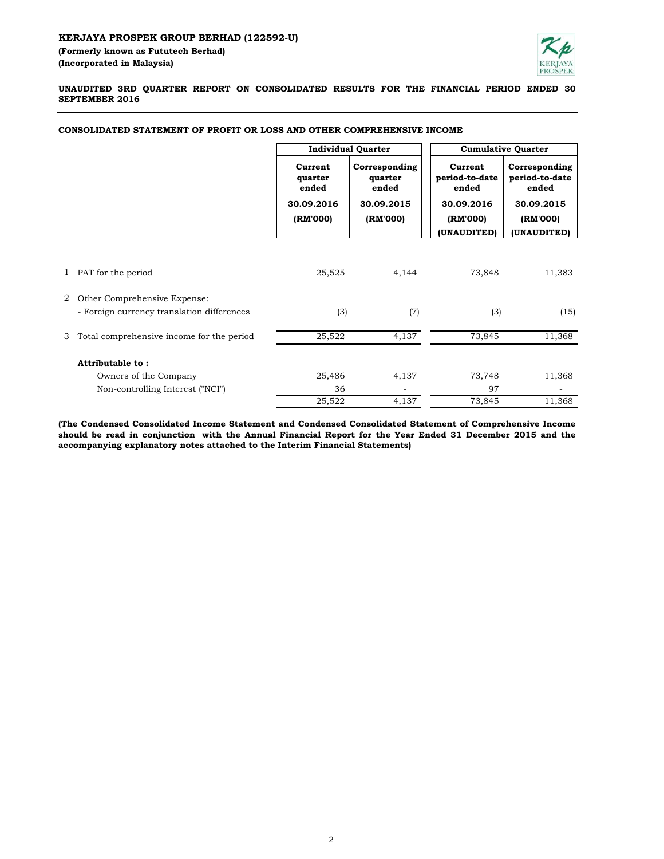

**UNAUDITED 3RD QUARTER REPORT ON CONSOLIDATED RESULTS FOR THE FINANCIAL PERIOD ENDED 30 SEPTEMBER 2016**

|   |                                            | <b>Individual Quarter</b>                             |                                                             | <b>Cumulative Quarter</b>                                                   |                                                                                   |  |
|---|--------------------------------------------|-------------------------------------------------------|-------------------------------------------------------------|-----------------------------------------------------------------------------|-----------------------------------------------------------------------------------|--|
|   |                                            | Current<br>quarter<br>ended<br>30.09.2016<br>(RM'000) | Corresponding<br>quarter<br>ended<br>30.09.2015<br>(RM'000) | Current<br>period-to-date<br>ended<br>30.09.2016<br>(RM'000)<br>(UNAUDITED) | Corresponding<br>period-to-date<br>ended<br>30.09.2015<br>(RM'000)<br>(UNAUDITED) |  |
|   |                                            |                                                       |                                                             |                                                                             |                                                                                   |  |
| 1 | PAT for the period                         | 25,525                                                | 4,144                                                       | 73,848                                                                      | 11,383                                                                            |  |
| 2 | Other Comprehensive Expense:               |                                                       |                                                             |                                                                             |                                                                                   |  |
|   | - Foreign currency translation differences | (3)                                                   | (7)                                                         | (3)                                                                         | (15)                                                                              |  |
| 3 | Total comprehensive income for the period  | 25,522                                                | 4,137                                                       | 73,845                                                                      | 11,368                                                                            |  |
|   | Attributable to:                           |                                                       |                                                             |                                                                             |                                                                                   |  |
|   | Owners of the Company                      | 25,486                                                | 4,137                                                       | 73,748                                                                      | 11,368                                                                            |  |
|   | Non-controlling Interest ("NCI")           | 36                                                    |                                                             | 97                                                                          | ۰                                                                                 |  |
|   |                                            | 25,522                                                | 4,137                                                       | 73,845                                                                      | 11,368                                                                            |  |

## **CONSOLIDATED STATEMENT OF PROFIT OR LOSS AND OTHER COMPREHENSIVE INCOME**

**(The Condensed Consolidated Income Statement and Condensed Consolidated Statement of Comprehensive Income** should be read in conjunction with the Annual Financial Report for the Year Ended 31 December 2015 and the **accompanying explanatory notes attached to the Interim Financial Statements)**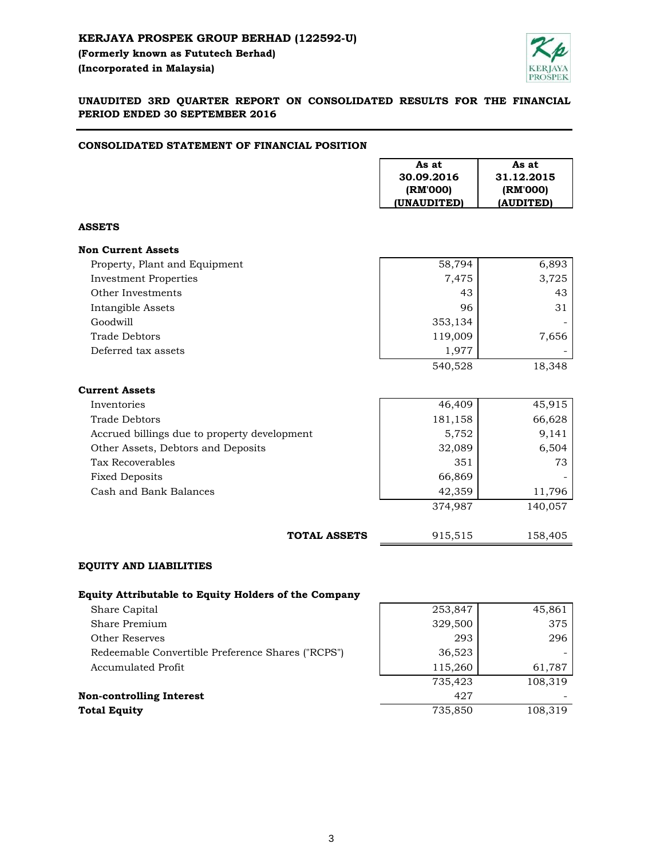

# **UNAUDITED 3RD QUARTER REPORT ON CONSOLIDATED RESULTS FOR THE FINANCIAL PERIOD ENDED 30 SEPTEMBER 2016**

# **CONSOLIDATED STATEMENT OF FINANCIAL POSITION**

|                                                             | As at<br>30.09.2016<br>(RM'000)<br>(UNAUDITED) | As at<br>31.12.2015<br>(RM'000)<br>(AUDITED) |
|-------------------------------------------------------------|------------------------------------------------|----------------------------------------------|
| <b>ASSETS</b>                                               |                                                |                                              |
| <b>Non Current Assets</b>                                   |                                                |                                              |
| Property, Plant and Equipment                               | 58,794                                         | 6,893                                        |
| <b>Investment Properties</b>                                | 7,475                                          | 3,725                                        |
| Other Investments                                           | 43                                             | 43                                           |
| Intangible Assets                                           | 96                                             | 31                                           |
| Goodwill                                                    | 353,134                                        |                                              |
| <b>Trade Debtors</b>                                        | 119,009                                        | 7,656                                        |
| Deferred tax assets                                         | 1,977                                          |                                              |
|                                                             | 540,528                                        | 18,348                                       |
| <b>Current Assets</b>                                       |                                                |                                              |
| Inventories                                                 | 46,409                                         | 45,915                                       |
| <b>Trade Debtors</b>                                        | 181,158                                        | 66,628                                       |
| Accrued billings due to property development                | 5,752                                          | 9,141                                        |
| Other Assets, Debtors and Deposits                          | 32,089                                         | 6,504                                        |
| Tax Recoverables                                            | 351                                            | 73                                           |
| <b>Fixed Deposits</b>                                       | 66,869                                         |                                              |
| Cash and Bank Balances                                      | 42,359                                         | 11,796                                       |
|                                                             | 374,987                                        | 140,057                                      |
| <b>TOTAL ASSETS</b>                                         | 915,515                                        | 158,405                                      |
| <b>EQUITY AND LIABILITIES</b>                               |                                                |                                              |
| <b>Equity Attributable to Equity Holders of the Company</b> |                                                |                                              |
| Share Capital                                               | 253,847                                        | 45,861                                       |
| Share Premium                                               | 329,500                                        | 375                                          |
| <b>Other Reserves</b>                                       | 293                                            | 296                                          |
| Redeemable Convertible Preference Shares ("RCPS")           | 36,523                                         |                                              |
| <b>Accumulated Profit</b>                                   | 115,260                                        | 61,787                                       |
|                                                             | 735,423                                        | 108,319                                      |

| 735.423 | 108,319 |  |
|---------|---------|--|
| 427     | -       |  |
| 735.850 | 108,319 |  |
|         |         |  |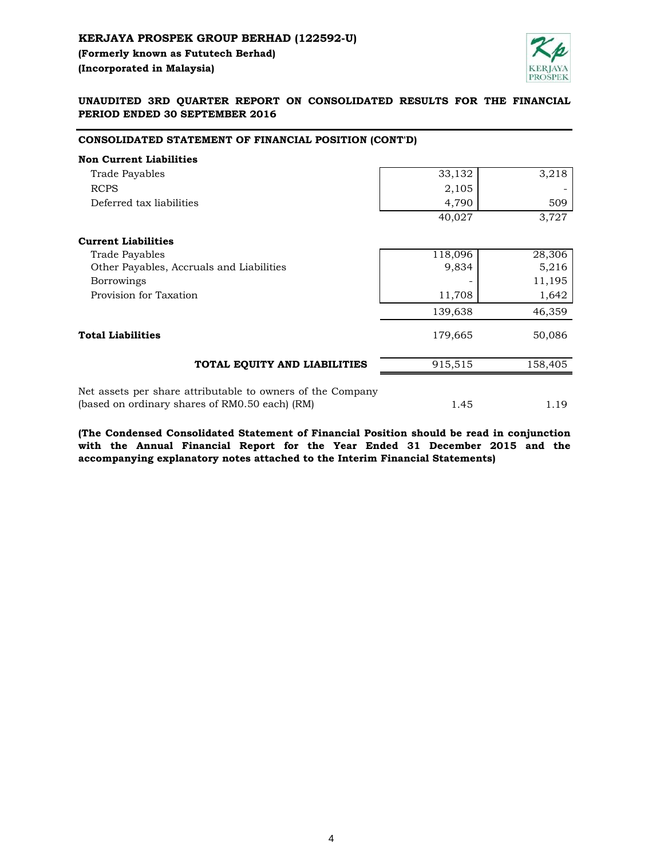

# **UNAUDITED 3RD QUARTER REPORT ON CONSOLIDATED RESULTS FOR THE FINANCIAL PERIOD ENDED 30 SEPTEMBER 2016**

# **CONSOLIDATED STATEMENT OF FINANCIAL POSITION (CONT'D)**

| <b>Non Current Liabilities</b>                                                                               |         |         |
|--------------------------------------------------------------------------------------------------------------|---------|---------|
| Trade Payables                                                                                               | 33,132  | 3,218   |
| <b>RCPS</b>                                                                                                  | 2,105   |         |
| Deferred tax liabilities                                                                                     | 4,790   | 509     |
|                                                                                                              | 40,027  | 3,727   |
| <b>Current Liabilities</b>                                                                                   |         |         |
| Trade Payables                                                                                               | 118,096 | 28,306  |
| Other Payables, Accruals and Liabilities                                                                     | 9,834   | 5,216   |
| <b>Borrowings</b>                                                                                            |         | 11,195  |
| Provision for Taxation                                                                                       | 11,708  | 1,642   |
|                                                                                                              | 139,638 | 46,359  |
| <b>Total Liabilities</b>                                                                                     | 179,665 | 50,086  |
| TOTAL EQUITY AND LIABILITIES                                                                                 | 915,515 | 158,405 |
| Net assets per share attributable to owners of the Company<br>(based on ordinary shares of RM0.50 each) (RM) | 1.45    | 1.19    |

**(The Condensed Consolidated Statement of Financial Position should be read in conjunction with the Annual Financial Report for the Year Ended 31 December 2015 and the accompanying explanatory notes attached to the Interim Financial Statements)**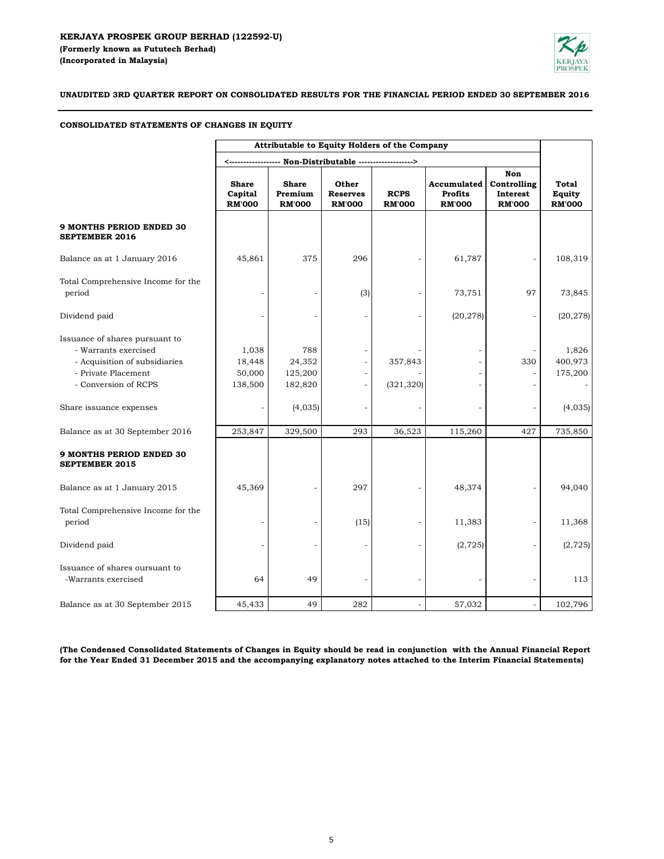

**UNAUDITED 3RD QUARTER REPORT ON CONSOLIDATED RESULTS FOR THE FINANCIAL PERIOD ENDED 30 SEPTEMBER 2016**

# **CONSOLIDATED STATEMENTS OF CHANGES IN EQUITY**

|                                                                                                                                        | Attributable to Equity Holders of the Company |                                          |                                           |                              |                                                |                                                 |                                  |
|----------------------------------------------------------------------------------------------------------------------------------------|-----------------------------------------------|------------------------------------------|-------------------------------------------|------------------------------|------------------------------------------------|-------------------------------------------------|----------------------------------|
|                                                                                                                                        |                                               |                                          |                                           |                              |                                                |                                                 |                                  |
|                                                                                                                                        | <b>Share</b><br>Capital<br><b>RM'000</b>      | <b>Share</b><br>Premium<br><b>RM'000</b> | Other<br><b>Reserves</b><br><b>RM'000</b> | <b>RCPS</b><br><b>RM'000</b> | Accumulated<br><b>Profits</b><br><b>RM'000</b> | Non<br>Controlling<br>Interest<br><b>RM'000</b> | Total<br>Equity<br><b>RM'000</b> |
| <b>9 MONTHS PERIOD ENDED 30</b><br><b>SEPTEMBER 2016</b>                                                                               |                                               |                                          |                                           |                              |                                                |                                                 |                                  |
| Balance as at 1 January 2016                                                                                                           | 45,861                                        | 375                                      | 296                                       |                              | 61,787                                         |                                                 | 108,319                          |
| Total Comprehensive Income for the<br>period                                                                                           |                                               |                                          | (3)                                       |                              | 73,751                                         | 97                                              | 73,845                           |
| Dividend paid                                                                                                                          |                                               |                                          |                                           |                              | (20, 278)                                      |                                                 | (20, 278)                        |
| Issuance of shares pursuant to<br>- Warrants exercised<br>- Acquisition of subsidiaries<br>- Private Placement<br>- Conversion of RCPS | 1,038<br>18,448<br>50,000<br>138,500          | 788<br>24,352<br>125,200<br>182,820      |                                           | 357,843<br>(321, 320)        |                                                | 330                                             | 1,826<br>400,973<br>175,200      |
| Share issuance expenses                                                                                                                |                                               | (4,035)                                  |                                           |                              |                                                |                                                 | (4,035)                          |
| Balance as at 30 September 2016                                                                                                        | 253,847                                       | 329,500                                  | 293                                       | 36,523                       | 115,260                                        | 427                                             | 735,850                          |
| <b>9 MONTHS PERIOD ENDED 30</b><br><b>SEPTEMBER 2015</b>                                                                               |                                               |                                          |                                           |                              |                                                |                                                 |                                  |
| Balance as at 1 January 2015                                                                                                           | 45,369                                        |                                          | 297                                       |                              | 48,374                                         |                                                 | 94,040                           |
| Total Comprehensive Income for the<br>period                                                                                           |                                               |                                          | (15)                                      |                              | 11,383                                         |                                                 | 11,368                           |
| Dividend paid                                                                                                                          |                                               |                                          |                                           |                              | (2, 725)                                       |                                                 | (2, 725)                         |
| Issuance of shares oursuant to<br>-Warrants exercised                                                                                  | 64                                            | 49                                       |                                           |                              |                                                |                                                 | 113                              |
| Balance as at 30 September 2015                                                                                                        | 45,433                                        | 49                                       | 282                                       |                              | 57,032                                         |                                                 | 102,796                          |

(The Condensed Consolidated Statements of Changes in Equity should be read in conjunction with the Annual Financial Report **for the Year Ended 31 December 2015 and the accompanying explanatory notes attached to the Interim Financial Statements)**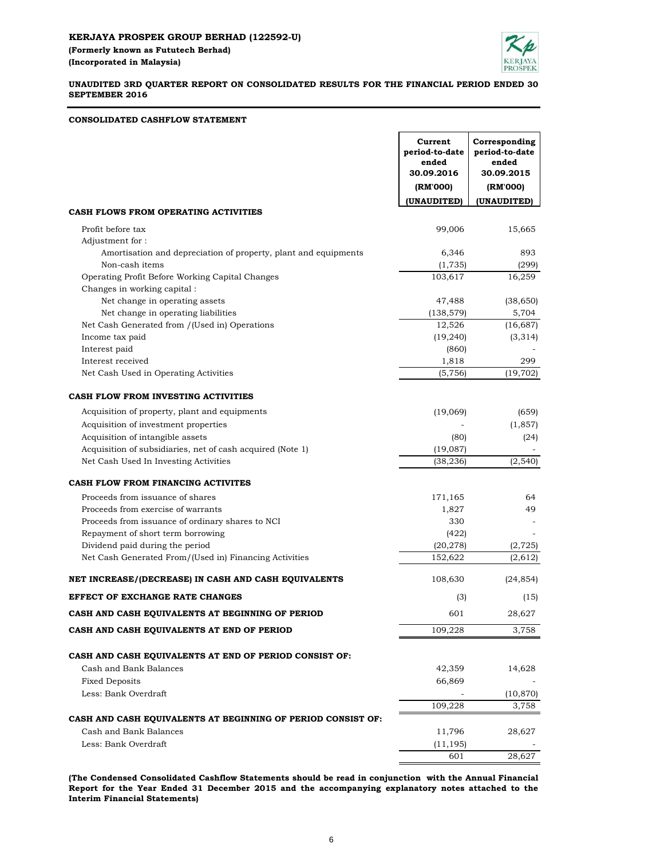**CONSOLIDATED CASHFLOW STATEMENT**



## **UNAUDITED 3RD QUARTER REPORT ON CONSOLIDATED RESULTS FOR THE FINANCIAL PERIOD ENDED 30 SEPTEMBER 2016**

#### **Current period-to-date** ended<br>**30.09.2016 Corresponding period-to-date ended 30.09.2016 30.09.2015 (RM'000) (RM'000) (UNAUDITED) (UNAUDITED)** 99,006 15,665 6,346 893 (1,735) (299) Operating Profit Before Working Capital Changes 103,617 16,259 47,488 (38,650) (138,579) 5,704 12,526 (16,687) (19,240) (3,314)  $(860)$  1,818 299  $(5,756)$   $(19,702)$  (19,069) (659) Acquisition of investment properties  $(1,857)$ Acquisition of intangible assets (80) (24) Acquisition of subsidiaries, net of cash acquired (Note 1) (19,087) (38,236) (2,540) 171,165 64 1,827 49 Proceeds from issuance of ordinary shares to NCI 330 Repayment of short term borrowing (422) Dividend paid during the period (20,278) (2,725) (2,725) 152,622 (2,612) 108,630 (24,854) (3) (15) 601 28,627 109,228 3,758 42,359 14,628 Fixed Deposits 66,869 Less: Bank Overdraft (10,870) 109,228 3,758 11,796 28,627 Less: Bank Overdraft (11,195) - 601 28,627 **CASH AND CASH EQUIVALENTS AT END OF PERIOD CASH AND CASH EQUIVALENTS AT BEGINNING OF PERIOD NET INCREASE/(DECREASE) IN CASH AND CASH EQUIVALENTS CASH AND CASH EQUIVALENTS AT END OF PERIOD CONSIST OF:** Cash and Bank Balances **CASH AND CASH EQUIVALENTS AT BEGINNING OF PERIOD CONSIST OF:** Cash and Bank Balances **EFFECT OF EXCHANGE RATE CHANGES** Changes in working capital : Amortisation and depreciation of property, plant and equipments Non-cash items Acquisition of property, plant and equipments Net Cash Generated From/(Used in) Financing Activities Interest received Net Cash Used In Investing Activities **CASH FLOW FROM FINANCING ACTIVITES** Proceeds from exercise of warrants **CASH FLOW FROM INVESTING ACTIVITIES** Proceeds from issuance of shares Profit before tax Adjustment for : **CASH FLOWS FROM OPERATING ACTIVITIES** Net Cash Generated from /(Used in) Operations Net Cash Used in Operating Activities Net change in operating assets Net change in operating liabilities Income tax paid Interest paid

**(The Condensed Consolidated Cashflow Statements should be read in conjunction with the Annual Financial Report for the Year Ended 31 December 2015 and the accompanying explanatory notes attached to the Interim Financial Statements)**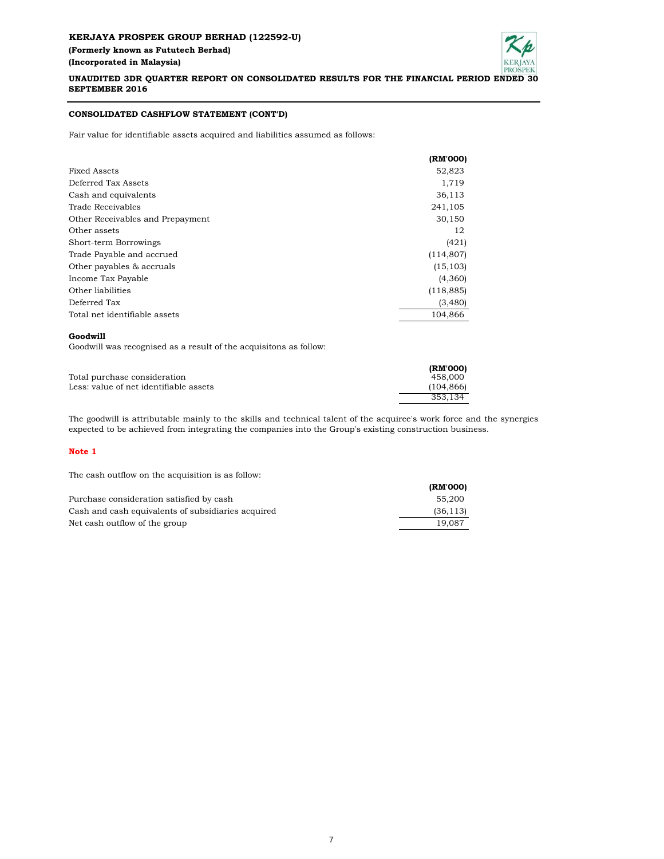## **KERJAYA PROSPEK GROUP BERHAD (122592-U) (Formerly known as Fututech Berhad) (Incorporated in Malaysia)**



**UNAUDITED 3DR QUARTER REPORT ON CONSOLIDATED RESULTS FOR THE FINANCIAL PERIOD ENDED 30 SEPTEMBER 2016**

## **CONSOLIDATED CASHFLOW STATEMENT (CONT'D)**

Fair value for identifiable assets acquired and liabilities assumed as follows:

|                                  | (RM'000)   |
|----------------------------------|------------|
| Fixed Assets                     | 52,823     |
| Deferred Tax Assets              | 1,719      |
| Cash and equivalents             | 36,113     |
| Trade Receivables                | 241,105    |
| Other Receivables and Prepayment | 30,150     |
| Other assets                     | 12         |
| Short-term Borrowings            | (421)      |
| Trade Payable and accrued        | (114, 807) |
| Other payables & accruals        | (15, 103)  |
| Income Tax Payable               | (4,360)    |
| Other liabilities                | (118, 885) |
| Deferred Tax                     | (3,480)    |
| Total net identifiable assets    | 104.866    |

#### **Goodwill**

Goodwill was recognised as a result of the acquisitons as follow:

|                                        | (RM'000)  |
|----------------------------------------|-----------|
| Total purchase consideration           | 458,000   |
| Less: value of net identifiable assets | (104.866) |
|                                        | 353.134   |

The goodwill is attributable mainly to the skills and technical talent of the acquiree's work force and the synergies expected to be achieved from integrating the companies into the Group's existing construction business.

#### **Note 1**

The cash outflow on the acquisition is as follow:

|                                                    | (RM'000)  |
|----------------------------------------------------|-----------|
| Purchase consideration satisfied by cash           | 55,200    |
| Cash and cash equivalents of subsidiaries acquired | (36, 113) |
| Net cash outflow of the group                      | 19.087    |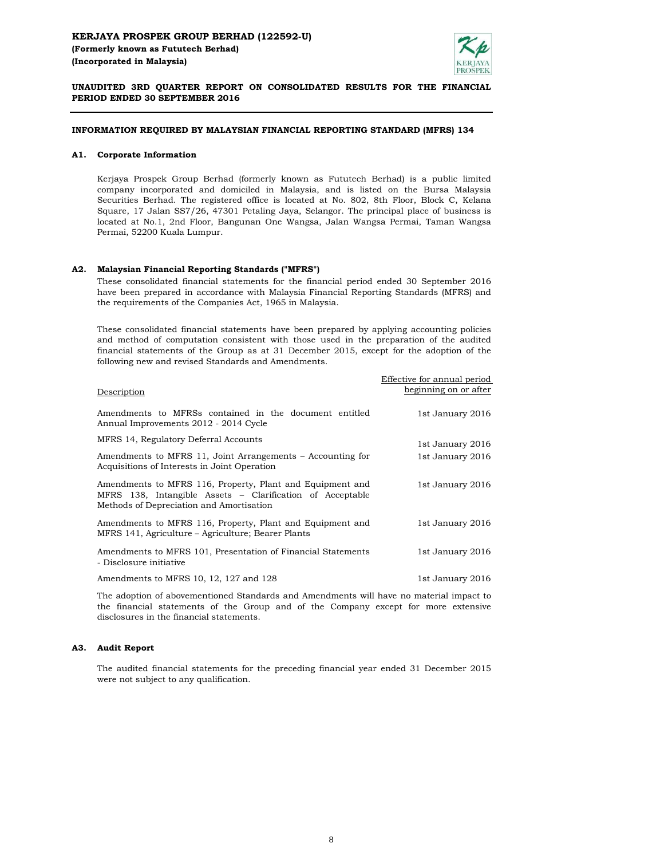

**UNAUDITED 3RD QUARTER REPORT ON CONSOLIDATED RESULTS FOR THE FINANCIAL PERIOD ENDED 30 SEPTEMBER 2016**

## **INFORMATION REQUIRED BY MALAYSIAN FINANCIAL REPORTING STANDARD (MFRS) 134**

#### **A1. Corporate Information**

Kerjaya Prospek Group Berhad (formerly known as Fututech Berhad) is a public limited company incorporated and domiciled in Malaysia, and is listed on the Bursa Malaysia Securities Berhad. The registered office is located at No. 802, 8th Floor, Block C, Kelana Square, 17 Jalan SS7/26, 47301 Petaling Jaya, Selangor. The principal place of business is located at No.1, 2nd Floor, Bangunan One Wangsa, Jalan Wangsa Permai, Taman Wangsa Permai, 52200 Kuala Lumpur.

#### **A2. Malaysian Financial Reporting Standards ("MFRS")**

These consolidated financial statements for the financial period ended 30 September 2016 have been prepared in accordance with Malaysia Financial Reporting Standards (MFRS) and the requirements of the Companies Act, 1965 in Malaysia.

These consolidated financial statements have been prepared by applying accounting policies and method of computation consistent with those used in the preparation of the audited financial statements of the Group as at 31 December 2015, except for the adoption of the following new and revised Standards and Amendments.

| Description                                                                                                                                                        | Effective for annual period<br>beginning on or after |
|--------------------------------------------------------------------------------------------------------------------------------------------------------------------|------------------------------------------------------|
| Amendments to MFRSs contained in the document entitled<br>Annual Improvements 2012 - 2014 Cycle                                                                    | 1st January 2016                                     |
| MFRS 14, Regulatory Deferral Accounts                                                                                                                              | 1st January 2016                                     |
| Amendments to MFRS 11, Joint Arrangements – Accounting for<br>Acquisitions of Interests in Joint Operation                                                         | 1st January 2016                                     |
| Amendments to MFRS 116, Property, Plant and Equipment and<br>MFRS 138, Intangible Assets – Clarification of Acceptable<br>Methods of Depreciation and Amortisation | 1st January 2016                                     |
| Amendments to MFRS 116, Property, Plant and Equipment and<br>MFRS 141, Agriculture – Agriculture; Bearer Plants                                                    | 1st January 2016                                     |
| Amendments to MFRS 101, Presentation of Financial Statements<br>- Disclosure initiative                                                                            | 1st January 2016                                     |
| Amendments to MFRS 10, 12, 127 and 128                                                                                                                             | 1st January 2016                                     |
|                                                                                                                                                                    |                                                      |

The adoption of abovementioned Standards and Amendments will have no material impact to the financial statements of the Group and of the Company except for more extensive disclosures in the financial statements.

#### **A3. Audit Report**

The audited financial statements for the preceding financial year ended 31 December 2015 were not subject to any qualification.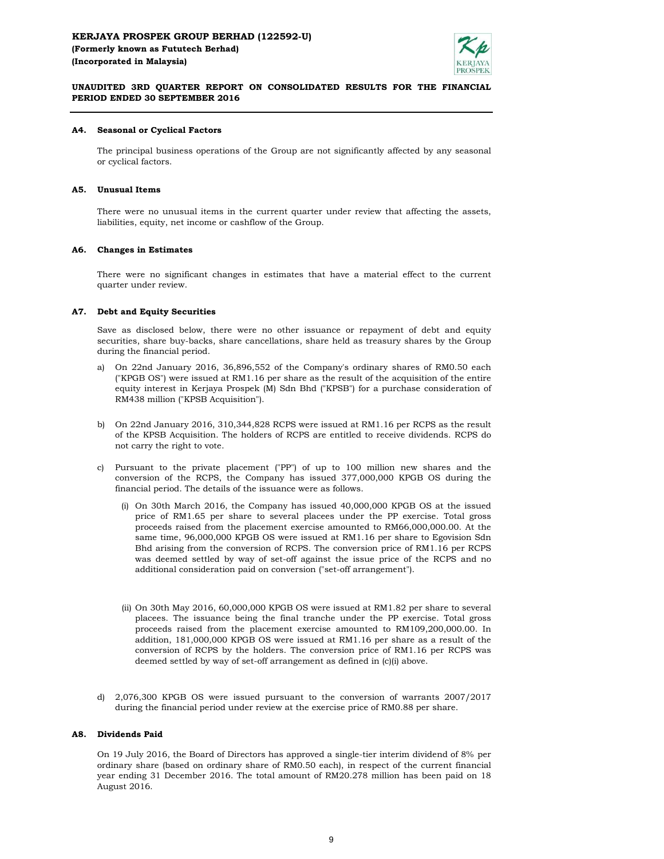## **KERJAYA PROSPEK GROUP BERHAD (122592-U) (Formerly known as Fututech Berhad) (Incorporated in Malaysia)**



## **UNAUDITED 3RD QUARTER REPORT ON CONSOLIDATED RESULTS FOR THE FINANCIAL PERIOD ENDED 30 SEPTEMBER 2016**

#### **A4. Seasonal or Cyclical Factors**

The principal business operations of the Group are not significantly affected by any seasonal or cyclical factors.

#### **A5. Unusual Items**

There were no unusual items in the current quarter under review that affecting the assets, liabilities, equity, net income or cashflow of the Group.

#### **A6. Changes in Estimates**

There were no significant changes in estimates that have a material effect to the current quarter under review.

#### **A7. Debt and Equity Securities**

Save as disclosed below, there were no other issuance or repayment of debt and equity securities, share buy-backs, share cancellations, share held as treasury shares by the Group during the financial period.

- a) On 22nd January 2016, 36,896,552 of the Company's ordinary shares of RM0.50 each ("KPGB OS") were issued at RM1.16 per share as the result of the acquisition of the entire equity interest in Kerjaya Prospek (M) Sdn Bhd ("KPSB") for a purchase consideration of RM438 million ("KPSB Acquisition").
- b) On 22nd January 2016, 310,344,828 RCPS were issued at RM1.16 per RCPS as the result of the KPSB Acquisition. The holders of RCPS are entitled to receive dividends. RCPS do not carry the right to vote.
- c) Pursuant to the private placement ("PP") of up to 100 million new shares and the conversion of the RCPS, the Company has issued 377,000,000 KPGB OS during the financial period. The details of the issuance were as follows.
	- (i) On 30th March 2016, the Company has issued 40,000,000 KPGB OS at the issued price of RM1.65 per share to several placees under the PP exercise. Total gross proceeds raised from the placement exercise amounted to RM66,000,000.00. At the same time, 96,000,000 KPGB OS were issued at RM1.16 per share to Egovision Sdn Bhd arising from the conversion of RCPS. The conversion price of RM1.16 per RCPS was deemed settled by way of set-off against the issue price of the RCPS and no additional consideration paid on conversion ("set-off arrangement").
	- (ii) On 30th May 2016, 60,000,000 KPGB OS were issued at RM1.82 per share to several placees. The issuance being the final tranche under the PP exercise. Total gross proceeds raised from the placement exercise amounted to RM109,200,000.00. In addition, 181,000,000 KPGB OS were issued at RM1.16 per share as a result of the conversion of RCPS by the holders. The conversion price of RM1.16 per RCPS was deemed settled by way of set-off arrangement as defined in (c)(i) above.
- d) 2,076,300 KPGB OS were issued pursuant to the conversion of warrants 2007/2017 during the financial period under review at the exercise price of RM0.88 per share.

#### **A8. Dividends Paid**

On 19 July 2016, the Board of Directors has approved a single-tier interim dividend of 8% per ordinary share (based on ordinary share of RM0.50 each), in respect of the current financial year ending 31 December 2016. The total amount of RM20.278 million has been paid on 18 August 2016.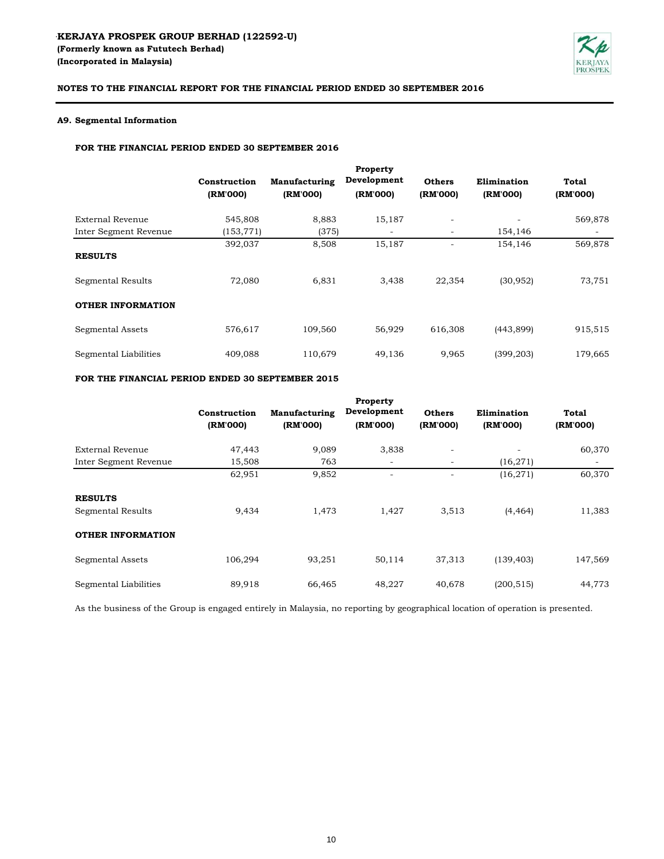

## **A9. Segmental Information**

## **FOR THE FINANCIAL PERIOD ENDED 30 SEPTEMBER 2016**

|                                     | Construction<br>(RM'000) | Manufacturing<br>(RM'000) | Property<br>Development<br>(RM'000) | <b>Others</b><br>(RM'000) | Elimination<br>(RM'000) | Total<br>(RM'000) |
|-------------------------------------|--------------------------|---------------------------|-------------------------------------|---------------------------|-------------------------|-------------------|
| External Revenue                    | 545,808                  | 8,883                     | 15,187                              | ۰                         |                         | 569,878           |
| Inter Segment Revenue               | (153, 771)               | (375)                     |                                     | $\overline{\phantom{a}}$  | 154,146                 |                   |
| <b>RESULTS</b><br>Segmental Results | 392,037<br>72,080        | 8,508<br>6.831            | 15,187<br>3,438                     | 22,354                    | 154,146<br>(30, 952)    | 569,878<br>73,751 |
| <b>OTHER INFORMATION</b>            |                          |                           |                                     |                           |                         |                   |
| Segmental Assets                    | 576,617                  | 109,560                   | 56,929                              | 616,308                   | (443, 899)              | 915,515           |
| Segmental Liabilities               | 409,088                  | 110,679                   | 49,136                              | 9,965                     | (399, 203)              | 179,665           |

# **FOR THE FINANCIAL PERIOD ENDED 30 SEPTEMBER 2015**

|                          | Construction<br>(RM'000) | Manufacturing<br>(RM'000) | Property<br>Development<br>(RM'000) | <b>Others</b><br>(RM'000) | Elimination<br>(RM'000) | Total<br>(RM'000)        |
|--------------------------|--------------------------|---------------------------|-------------------------------------|---------------------------|-------------------------|--------------------------|
| External Revenue         | 47,443                   | 9,089                     | 3,838                               | $\overline{\phantom{a}}$  |                         | 60,370                   |
| Inter Segment Revenue    | 15,508                   | 763                       | -                                   | $\overline{\phantom{a}}$  | (16, 271)               | $\overline{\phantom{a}}$ |
|                          | 62,951                   | 9,852                     | -                                   |                           | (16, 271)               | 60,370                   |
| <b>RESULTS</b>           |                          |                           |                                     |                           |                         |                          |
| Segmental Results        | 9,434                    | 1.473                     | 1,427                               | 3,513                     | (4, 464)                | 11,383                   |
| <b>OTHER INFORMATION</b> |                          |                           |                                     |                           |                         |                          |
| Segmental Assets         | 106.294                  | 93,251                    | 50,114                              | 37,313                    | (139, 403)              | 147,569                  |
| Segmental Liabilities    | 89,918                   | 66,465                    | 48,227                              | 40,678                    | (200, 515)              | 44,773                   |

As the business of the Group is engaged entirely in Malaysia, no reporting by geographical location of operation is presented.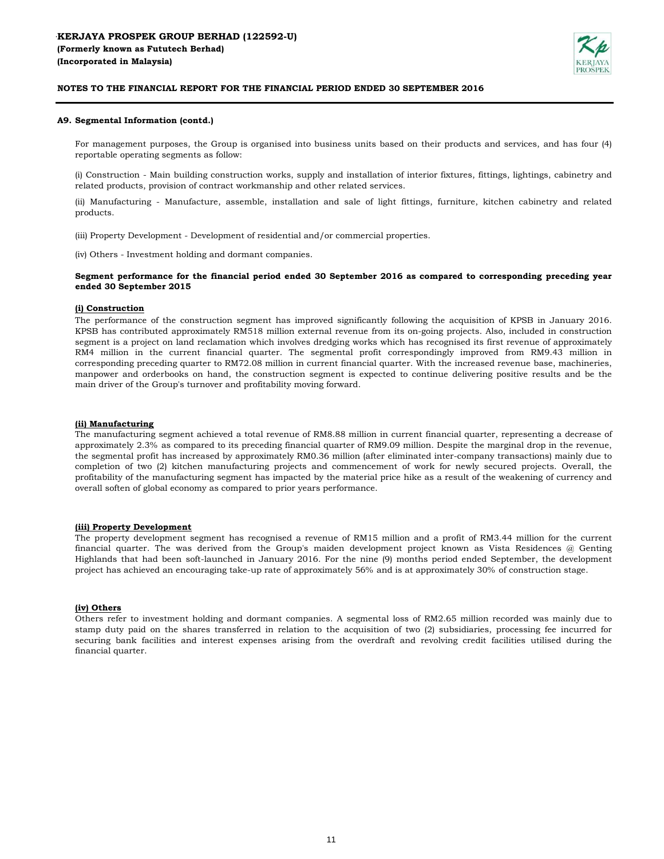

#### **A9. Segmental Information (contd.)**

For management purposes, the Group is organised into business units based on their products and services, and has four (4) reportable operating segments as follow:

(i) Construction - Main building construction works, supply and installation of interior fixtures, fittings, lightings, cabinetry and related products, provision of contract workmanship and other related services.

(ii) Manufacturing - Manufacture, assemble, installation and sale of light fittings, furniture, kitchen cabinetry and related products.

(iii) Property Development - Development of residential and/or commercial properties.

(iv) Others - Investment holding and dormant companies.

#### **Segment performance for the financial period ended 30 September 2016 as compared to corresponding preceding year ended 30 September 2015**

## **(i) Construction**

The performance of the construction segment has improved significantly following the acquisition of KPSB in January 2016. KPSB has contributed approximately RM518 million external revenue from its on-going projects. Also, included in construction segment is a project on land reclamation which involves dredging works which has recognised its first revenue of approximately RM4 million in the current financial quarter. The segmental profit correspondingly improved from RM9.43 million in corresponding preceding quarter to RM72.08 million in current financial quarter. With the increased revenue base, machineries, manpower and orderbooks on hand, the construction segment is expected to continue delivering positive results and be the main driver of the Group's turnover and profitability moving forward.

#### **(ii) Manufacturing**

The manufacturing segment achieved a total revenue of RM8.88 million in current financial quarter, representing a decrease of approximately 2.3% as compared to its preceding financial quarter of RM9.09 million. Despite the marginal drop in the revenue, the segmental profit has increased by approximately RM0.36 million (after eliminated inter-company transactions) mainly due to completion of two (2) kitchen manufacturing projects and commencement of work for newly secured projects. Overall, the profitability of the manufacturing segment has impacted by the material price hike as a result of the weakening of currency and overall soften of global economy as compared to prior years performance.

## **(iii) Property Development**

The property development segment has recognised a revenue of RM15 million and a profit of RM3.44 million for the current financial quarter. The was derived from the Group's maiden development project known as Vista Residences @ Genting Highlands that had been soft-launched in January 2016. For the nine (9) months period ended September, the development project has achieved an encouraging take-up rate of approximately 56% and is at approximately 30% of construction stage.

## **(iv) Others**

Others refer to investment holding and dormant companies. A segmental loss of RM2.65 million recorded was mainly due to stamp duty paid on the shares transferred in relation to the acquisition of two (2) subsidiaries, processing fee incurred for securing bank facilities and interest expenses arising from the overdraft and revolving credit facilities utilised during the financial quarter.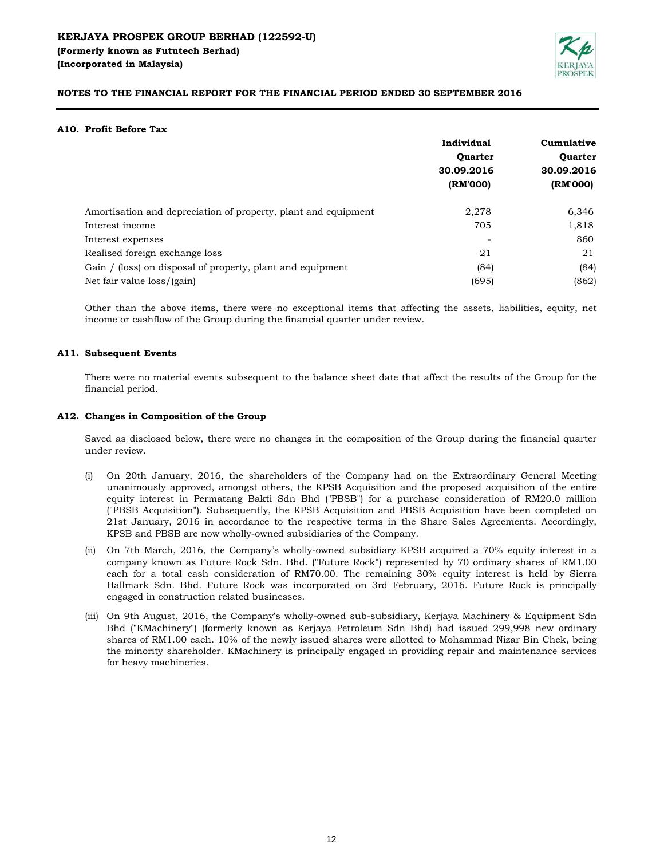

## **A10. Profit Before Tax**

|                                                                | Individual     | Cumulative<br><b>Ouarter</b><br>30.09.2016 |  |
|----------------------------------------------------------------|----------------|--------------------------------------------|--|
|                                                                | <b>Ouarter</b> |                                            |  |
|                                                                | 30.09.2016     |                                            |  |
|                                                                | (RM'000)       | (RM'000)                                   |  |
| Amortisation and depreciation of property, plant and equipment | 2,278          | 6,346                                      |  |
| Interest income                                                | 705            | 1,818                                      |  |
| Interest expenses                                              |                | 860                                        |  |
| Realised foreign exchange loss                                 | 21             | 21                                         |  |
| Gain / (loss) on disposal of property, plant and equipment     | (84)           | (84)                                       |  |
| Net fair value loss/(gain)                                     | (695)          | (862)                                      |  |

Other than the above items, there were no exceptional items that affecting the assets, liabilities, equity, net income or cashflow of the Group during the financial quarter under review.

## **A11. Subsequent Events**

There were no material events subsequent to the balance sheet date that affect the results of the Group for the financial period.

#### **A12. Changes in Composition of the Group**

Saved as disclosed below, there were no changes in the composition of the Group during the financial quarter under review.

- (i) On 20th January, 2016, the shareholders of the Company had on the Extraordinary General Meeting unanimously approved, amongst others, the KPSB Acquisition and the proposed acquisition of the entire equity interest in Permatang Bakti Sdn Bhd ("PBSB") for a purchase consideration of RM20.0 million ("PBSB Acquisition"). Subsequently, the KPSB Acquisition and PBSB Acquisition have been completed on 21st January, 2016 in accordance to the respective terms in the Share Sales Agreements. Accordingly, KPSB and PBSB are now wholly-owned subsidiaries of the Company.
- (ii) On 7th March, 2016, the Company's wholly-owned subsidiary KPSB acquired a 70% equity interest in a company known as Future Rock Sdn. Bhd. ("Future Rock") represented by 70 ordinary shares of RM1.00 each for a total cash consideration of RM70.00. The remaining 30% equity interest is held by Sierra Hallmark Sdn. Bhd. Future Rock was incorporated on 3rd February, 2016. Future Rock is principally engaged in construction related businesses.
- (iii) On 9th August, 2016, the Company's wholly-owned sub-subsidiary, Kerjaya Machinery & Equipment Sdn Bhd ("KMachinery") (formerly known as Kerjaya Petroleum Sdn Bhd) had issued 299,998 new ordinary shares of RM1.00 each. 10% of the newly issued shares were allotted to Mohammad Nizar Bin Chek, being the minority shareholder. KMachinery is principally engaged in providing repair and maintenance services for heavy machineries.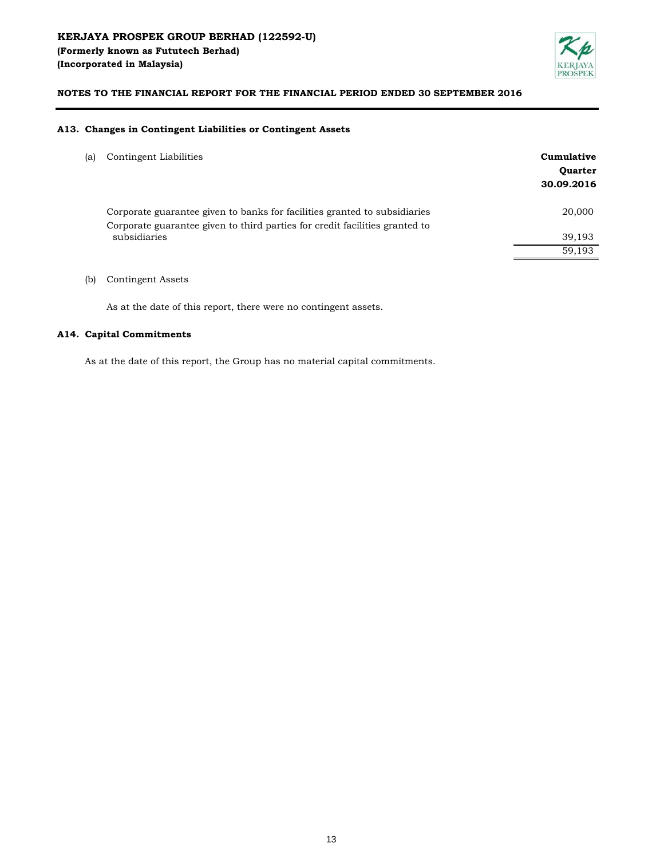

#### **A13. Changes in Contingent Liabilities or Contingent Assets**

| (a) | Contingent Liabilities |
|-----|------------------------|
|-----|------------------------|

| a) | Contingent Liabilities                                                                      | Cumulative     |
|----|---------------------------------------------------------------------------------------------|----------------|
|    |                                                                                             | <b>Quarter</b> |
|    |                                                                                             | 30.09.2016     |
|    | Corporate guarantee given to banks for facilities granted to subsidiaries                   | 20,000         |
|    | Corporate guarantee given to third parties for credit facilities granted to<br>subsidiaries | 39,193         |
|    |                                                                                             | 59.193         |
|    |                                                                                             |                |

(b) Contingent Assets

As at the date of this report, there were no contingent assets.

#### **A14. Capital Commitments**

As at the date of this report, the Group has no material capital commitments.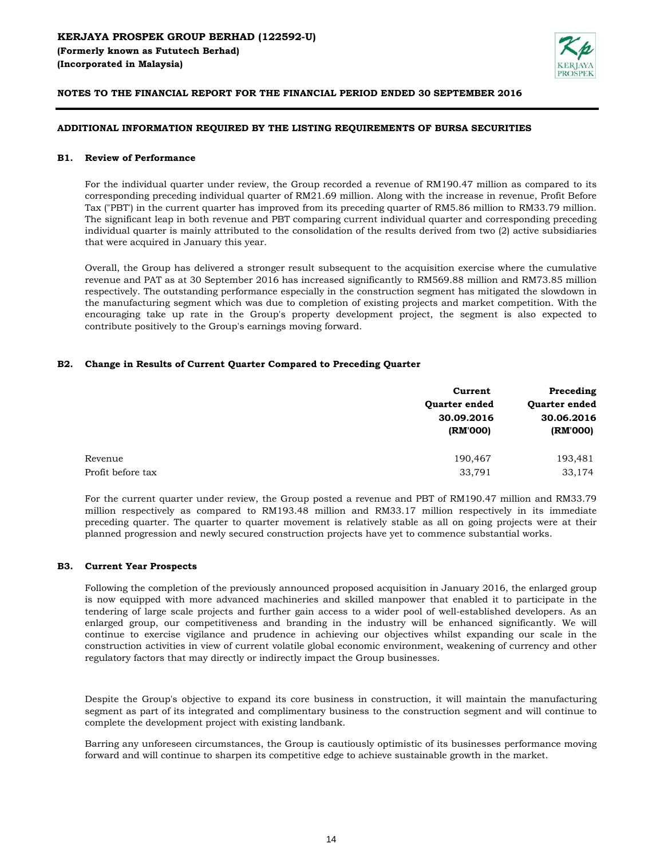

## **ADDITIONAL INFORMATION REQUIRED BY THE LISTING REQUIREMENTS OF BURSA SECURITIES**

#### **B1. Review of Performance**

For the individual quarter under review, the Group recorded a revenue of RM190.47 million as compared to its corresponding preceding individual quarter of RM21.69 million. Along with the increase in revenue, Profit Before Tax ("PBT') in the current quarter has improved from its preceding quarter of RM5.86 million to RM33.79 million. The significant leap in both revenue and PBT comparing current individual quarter and corresponding preceding individual quarter is mainly attributed to the consolidation of the results derived from two (2) active subsidiaries that were acquired in January this year.

Overall, the Group has delivered a stronger result subsequent to the acquisition exercise where the cumulative revenue and PAT as at 30 September 2016 has increased significantly to RM569.88 million and RM73.85 million respectively. The outstanding performance especially in the construction segment has mitigated the slowdown in the manufacturing segment which was due to completion of existing projects and market competition. With the encouraging take up rate in the Group's property development project, the segment is also expected to contribute positively to the Group's earnings moving forward.

## **B2. Change in Results of Current Quarter Compared to Preceding Quarter**

| Current                | Preceding<br>Quarter ended |  |
|------------------------|----------------------------|--|
| Quarter ended          |                            |  |
| 30.09.2016<br>(RM'000) | 30.06.2016<br>(RM'000)     |  |
| 190,467                | 193,481                    |  |
| 33,791                 | 33,174                     |  |
|                        |                            |  |

For the current quarter under review, the Group posted a revenue and PBT of RM190.47 million and RM33.79 million respectively as compared to RM193.48 million and RM33.17 million respectively in its immediate preceding quarter. The quarter to quarter movement is relatively stable as all on going projects were at their planned progression and newly secured construction projects have yet to commence substantial works.

## **B3. Current Year Prospects**

Following the completion of the previously announced proposed acquisition in January 2016, the enlarged group is now equipped with more advanced machineries and skilled manpower that enabled it to participate in the tendering of large scale projects and further gain access to a wider pool of well-established developers. As an enlarged group, our competitiveness and branding in the industry will be enhanced significantly. We will continue to exercise vigilance and prudence in achieving our objectives whilst expanding our scale in the construction activities in view of current volatile global economic environment, weakening of currency and other regulatory factors that may directly or indirectly impact the Group businesses.

Despite the Group's objective to expand its core business in construction, it will maintain the manufacturing segment as part of its integrated and complimentary business to the construction segment and will continue to complete the development project with existing landbank.

Barring any unforeseen circumstances, the Group is cautiously optimistic of its businesses performance moving forward and will continue to sharpen its competitive edge to achieve sustainable growth in the market.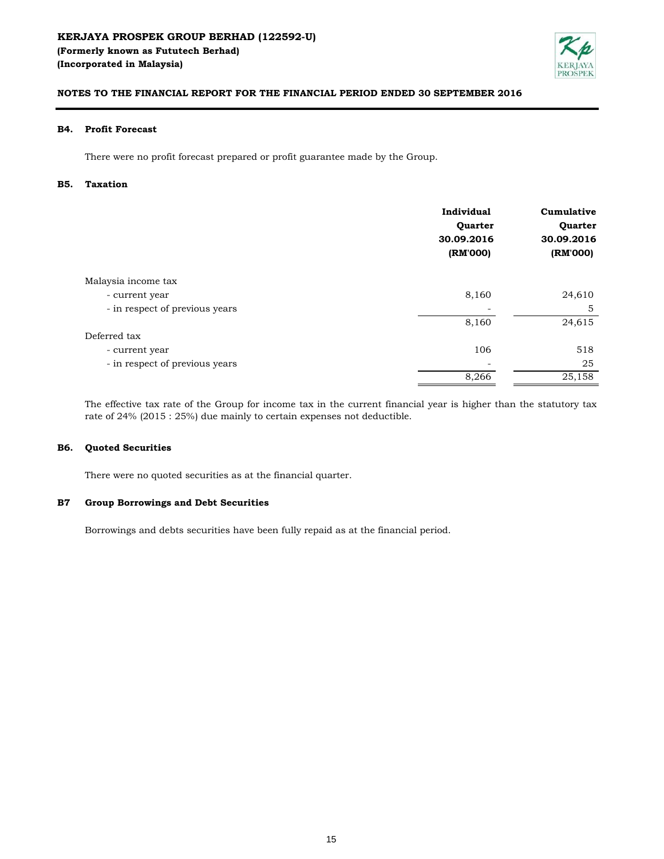

#### **B4. Profit Forecast**

There were no profit forecast prepared or profit guarantee made by the Group.

#### **B5. Taxation**

|                                | Individual<br>Quarter<br>30.09.2016<br>(RM'000) | Cumulative<br>Quarter<br>30.09.2016<br>(RM'000) |
|--------------------------------|-------------------------------------------------|-------------------------------------------------|
| Malaysia income tax            |                                                 |                                                 |
| - current year                 | 8,160                                           | 24,610                                          |
| - in respect of previous years |                                                 | 5                                               |
|                                | 8,160                                           | 24,615                                          |
| Deferred tax                   |                                                 |                                                 |
| - current year                 | 106                                             | 518                                             |
| - in respect of previous years |                                                 | 25                                              |
|                                | 8,266                                           | 25,158                                          |

The effective tax rate of the Group for income tax in the current financial year is higher than the statutory tax rate of 24% (2015 : 25%) due mainly to certain expenses not deductible.

#### **B6. Quoted Securities**

There were no quoted securities as at the financial quarter.

#### **B7 Group Borrowings and Debt Securities**

Borrowings and debts securities have been fully repaid as at the financial period.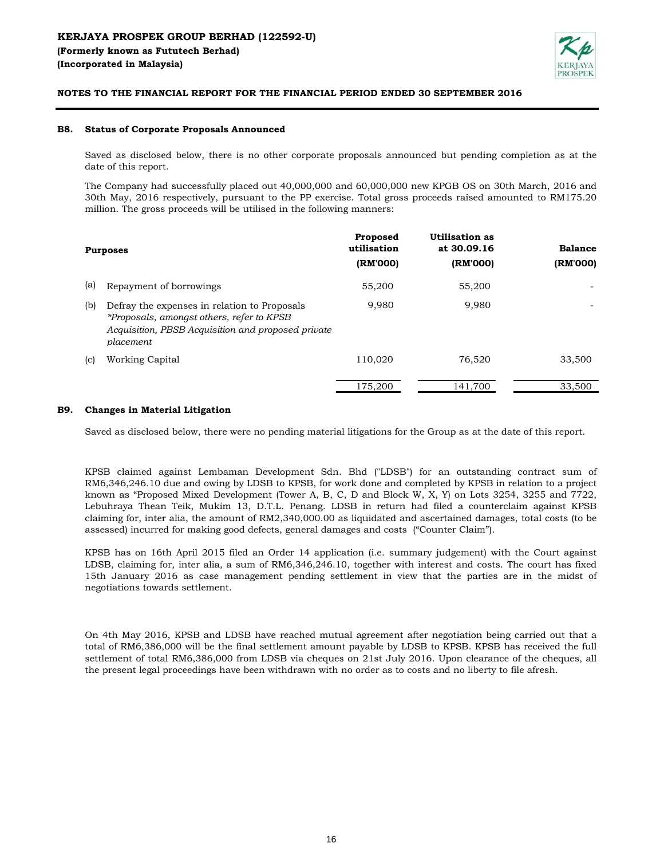

#### **B8. Status of Corporate Proposals Announced**

Saved as disclosed below, there is no other corporate proposals announced but pending completion as at the date of this report.

The Company had successfully placed out 40,000,000 and 60,000,000 new KPGB OS on 30th March, 2016 and 30th May, 2016 respectively, pursuant to the PP exercise. Total gross proceeds raised amounted to RM175.20 million. The gross proceeds will be utilised in the following manners:

|     | <b>Purposes</b>                                                                                                                                              | Proposed<br>utilisation<br>(RM'000) | Utilisation as<br>at 30.09.16<br>(RM'000) | <b>Balance</b><br>(RM'000) |
|-----|--------------------------------------------------------------------------------------------------------------------------------------------------------------|-------------------------------------|-------------------------------------------|----------------------------|
| (a) | Repayment of borrowings                                                                                                                                      | 55,200                              | 55,200                                    |                            |
| (b) | Defray the expenses in relation to Proposals<br>*Proposals, amongst others, refer to KPSB<br>Acquisition, PBSB Acquisition and proposed private<br>placement | 9.980                               | 9.980                                     |                            |
| (c) | Working Capital                                                                                                                                              | 110,020                             | 76,520                                    | 33,500                     |
|     |                                                                                                                                                              | 175.200                             | 141.700                                   | 33,500                     |

## **B9. Changes in Material Litigation**

Saved as disclosed below, there were no pending material litigations for the Group as at the date of this report.

KPSB claimed against Lembaman Development Sdn. Bhd ("LDSB") for an outstanding contract sum of RM6,346,246.10 due and owing by LDSB to KPSB, for work done and completed by KPSB in relation to a project known as "Proposed Mixed Development (Tower A, B, C, D and Block W, X, Y) on Lots 3254, 3255 and 7722, Lebuhraya Thean Teik, Mukim 13, D.T.L. Penang. LDSB in return had filed a counterclaim against KPSB claiming for, inter alia, the amount of RM2,340,000.00 as liquidated and ascertained damages, total costs (to be assessed) incurred for making good defects, general damages and costs ("Counter Claim").

KPSB has on 16th April 2015 filed an Order 14 application (i.e. summary judgement) with the Court against LDSB, claiming for, inter alia, a sum of RM6,346,246.10, together with interest and costs. The court has fixed 15th January 2016 as case management pending settlement in view that the parties are in the midst of negotiations towards settlement.

On 4th May 2016, KPSB and LDSB have reached mutual agreement after negotiation being carried out that a total of RM6,386,000 will be the final settlement amount payable by LDSB to KPSB. KPSB has received the full settlement of total RM6,386,000 from LDSB via cheques on 21st July 2016. Upon clearance of the cheques, all the present legal proceedings have been withdrawn with no order as to costs and no liberty to file afresh.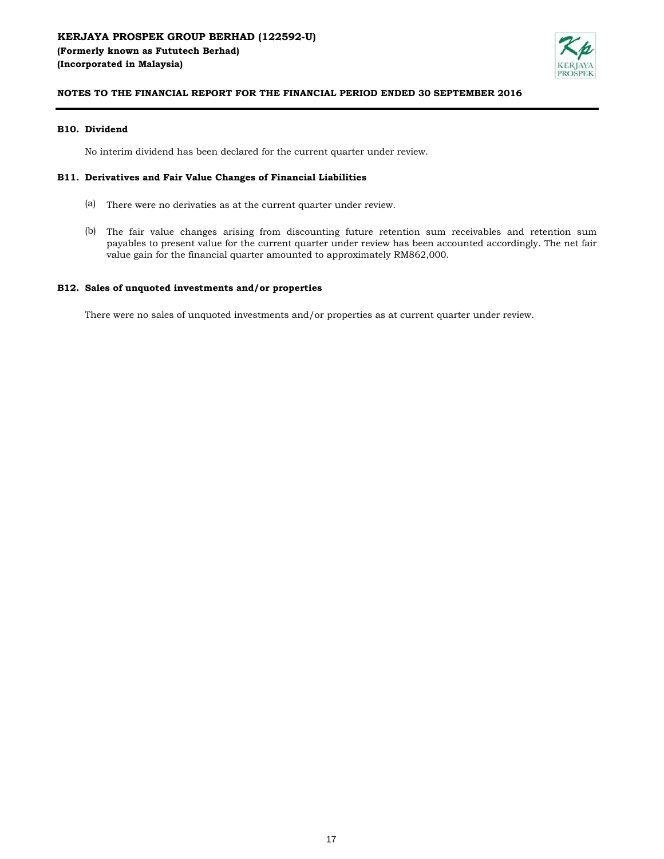

## **B10. Dividend**

No interim dividend has been declared for the current quarter under review.

## **B11. Derivatives and Fair Value Changes of Financial Liabilities**

- (a) There were no derivaties as at the current quarter under review.
- (b) The fair value changes arising from discounting future retention sum receivables and retention sum payables to present value for the current quarter under review has been accounted accordingly. The net fair value gain for the financial quarter amounted to approximately RM862,000.

## **B12. Sales of unquoted investments and/or properties**

There were no sales of unquoted investments and/or properties as at current quarter under review.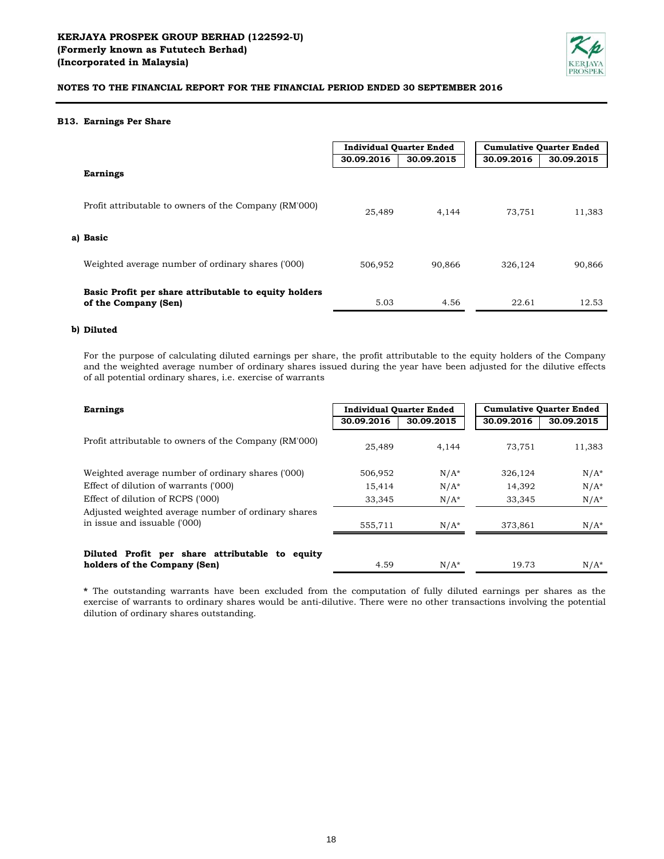

#### **B13. Earnings Per Share**

|                                                                               | <b>Individual Quarter Ended</b> |            | <b>Cumulative Quarter Ended</b> |            |  |
|-------------------------------------------------------------------------------|---------------------------------|------------|---------------------------------|------------|--|
|                                                                               | 30.09.2016                      | 30.09.2015 | 30.09.2016                      | 30.09.2015 |  |
| <b>Earnings</b>                                                               |                                 |            |                                 |            |  |
| Profit attributable to owners of the Company (RM'000)                         | 25.489                          | 4.144      | 73.751                          | 11,383     |  |
| a) Basic                                                                      |                                 |            |                                 |            |  |
| Weighted average number of ordinary shares ('000)                             | 506.952                         | 90.866     | 326.124                         | 90,866     |  |
| Basic Profit per share attributable to equity holders<br>of the Company (Sen) | 5.03                            | 4.56       | 22.61                           | 12.53      |  |

#### **b) Diluted**

For the purpose of calculating diluted earnings per share, the profit attributable to the equity holders of the Company and the weighted average number of ordinary shares issued during the year have been adjusted for the dilutive effects of all potential ordinary shares, i.e. exercise of warrants

| <b>Earnings</b>                                                                 | <b>Individual Quarter Ended</b> |            | <b>Cumulative Quarter Ended</b> |            |
|---------------------------------------------------------------------------------|---------------------------------|------------|---------------------------------|------------|
|                                                                                 | 30.09.2016                      | 30.09.2015 | 30.09.2016                      | 30.09.2015 |
| Profit attributable to owners of the Company (RM'000)                           | 25.489                          | 4.144      | 73.751                          | 11,383     |
| Weighted average number of ordinary shares ('000)                               | 506,952                         | $N/A^*$    | 326,124                         | $N/A^*$    |
| Effect of dilution of warrants ('000)                                           | 15,414                          | $N/A^*$    | 14,392                          | $N/A^*$    |
| Effect of dilution of RCPS ('000)                                               | 33,345                          | $N/A^*$    | 33,345                          | $N/A^*$    |
| Adjusted weighted average number of ordinary shares                             |                                 |            |                                 |            |
| in issue and issuable ('000)                                                    | 555,711                         | $N/A^*$    | 373.861                         | $N/A^*$    |
| Diluted Profit per share attributable to equity<br>holders of the Company (Sen) | 4.59                            | $N/A^*$    | 19.73                           | $N/A^*$    |

**\*** The outstanding warrants have been excluded from the computation of fully diluted earnings per shares as the exercise of warrants to ordinary shares would be anti-dilutive. There were no other transactions involving the potential dilution of ordinary shares outstanding.